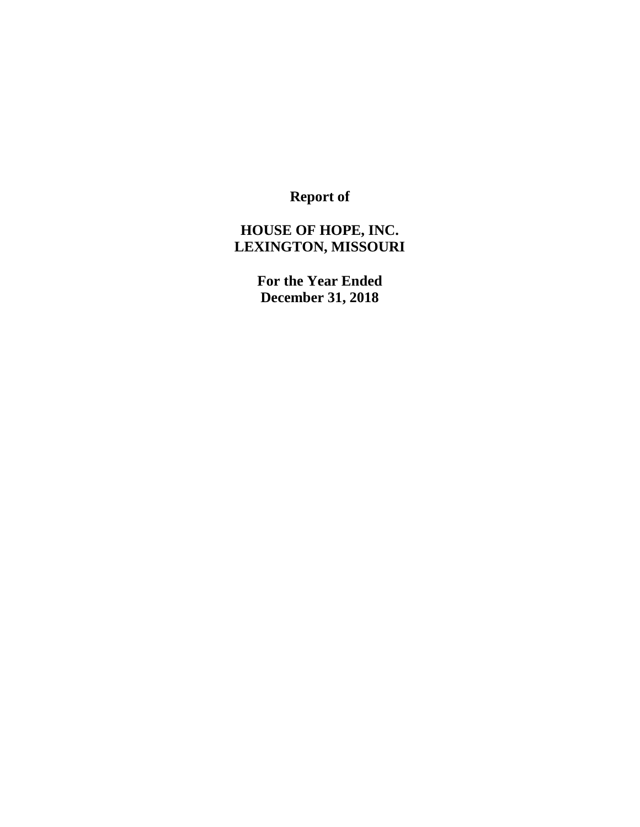**Report of**

# **HOUSE OF HOPE, INC. LEXINGTON, MISSOURI**

**For the Year Ended December 31, 2018**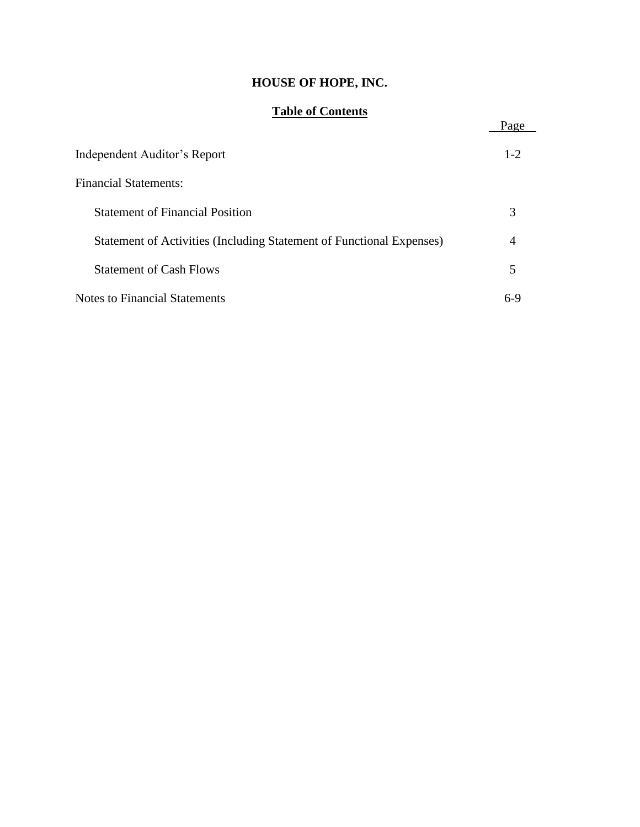# **HOUSE OF HOPE, INC.**

## **Table of Contents**

| Table of Coments                                                     | Page    |
|----------------------------------------------------------------------|---------|
| Independent Auditor's Report                                         | $1 - 2$ |
| <b>Financial Statements:</b>                                         |         |
| <b>Statement of Financial Position</b>                               | 3       |
| Statement of Activities (Including Statement of Functional Expenses) | 4       |
| <b>Statement of Cash Flows</b>                                       | 5       |
| Notes to Financial Statements                                        | $6-9$   |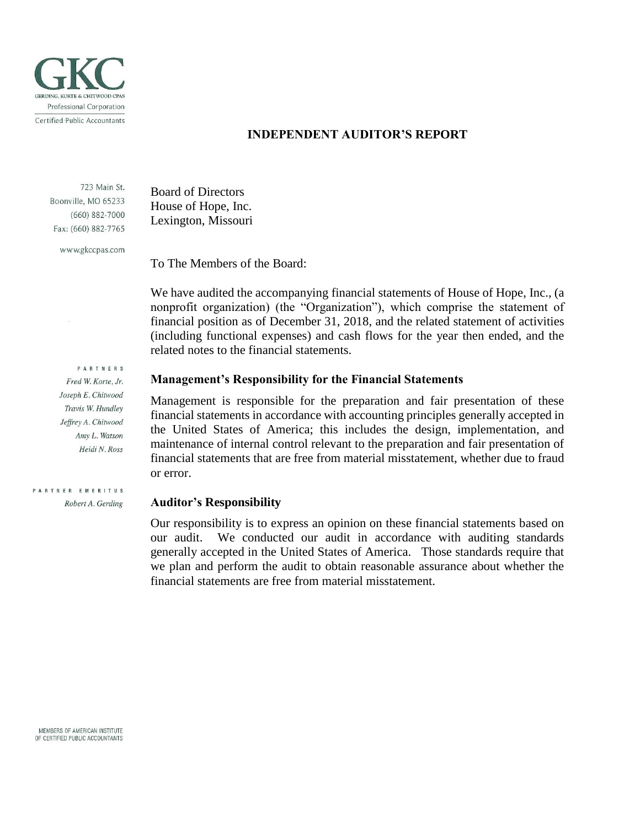

#### **INDEPENDENT AUDITOR'S REPORT**

723 Main St. Boonville, MO 65233  $(660) 882 - 7000$ Fax: (660) 882-7765

www.gkccpas.com

**PARTNERS** Fred W. Korte, Jr. Joseph E. Chitwood Travis W. Hundley Jeffrey A. Chitwood Amy L. Watson Heidi N. Ross

PARTNER EMERITUS Robert A. Gerding

Board of Directors House of Hope, Inc. Lexington, Missouri

To The Members of the Board:

We have audited the accompanying financial statements of House of Hope, Inc., (a nonprofit organization) (the "Organization"), which comprise the statement of financial position as of December 31, 2018, and the related statement of activities (including functional expenses) and cash flows for the year then ended, and the related notes to the financial statements.

#### **Management's Responsibility for the Financial Statements**

Management is responsible for the preparation and fair presentation of these financial statements in accordance with accounting principles generally accepted in the United States of America; this includes the design, implementation, and maintenance of internal control relevant to the preparation and fair presentation of financial statements that are free from material misstatement, whether due to fraud or error.

#### **Auditor's Responsibility**

Our responsibility is to express an opinion on these financial statements based on our audit. We conducted our audit in accordance with auditing standards generally accepted in the United States of America. Those standards require that we plan and perform the audit to obtain reasonable assurance about whether the financial statements are free from material misstatement.

MEMBERS OF AMERICAN INSTITUTE OF CERTIFIED PUBLIC ACCOUNTANTS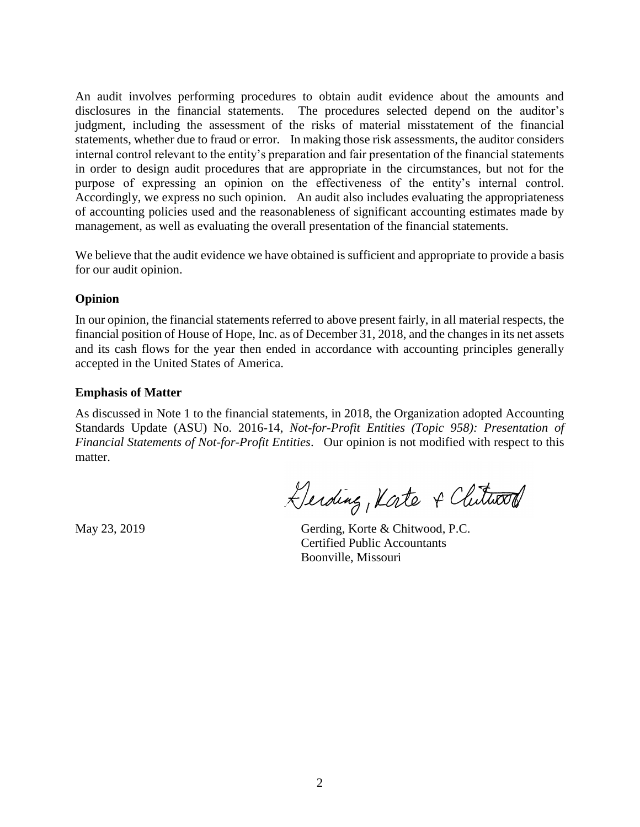An audit involves performing procedures to obtain audit evidence about the amounts and disclosures in the financial statements. The procedures selected depend on the auditor's judgment, including the assessment of the risks of material misstatement of the financial statements, whether due to fraud or error. In making those risk assessments, the auditor considers internal control relevant to the entity's preparation and fair presentation of the financial statements in order to design audit procedures that are appropriate in the circumstances, but not for the purpose of expressing an opinion on the effectiveness of the entity's internal control. Accordingly, we express no such opinion. An audit also includes evaluating the appropriateness of accounting policies used and the reasonableness of significant accounting estimates made by management, as well as evaluating the overall presentation of the financial statements.

We believe that the audit evidence we have obtained is sufficient and appropriate to provide a basis for our audit opinion.

### **Opinion**

In our opinion, the financial statements referred to above present fairly, in all material respects, the financial position of House of Hope, Inc. as of December 31, 2018, and the changes in its net assets and its cash flows for the year then ended in accordance with accounting principles generally accepted in the United States of America.

#### **Emphasis of Matter**

As discussed in Note 1 to the financial statements, in 2018, the Organization adopted Accounting Standards Update (ASU) No. 2016-14, *Not-for-Profit Entities (Topic 958): Presentation of Financial Statements of Not-for-Profit Entities*. Our opinion is not modified with respect to this matter.

Gerding, Kate & Clutwood

May 23, 2019 Gerding, Korte & Chitwood, P.C. Certified Public Accountants Boonville, Missouri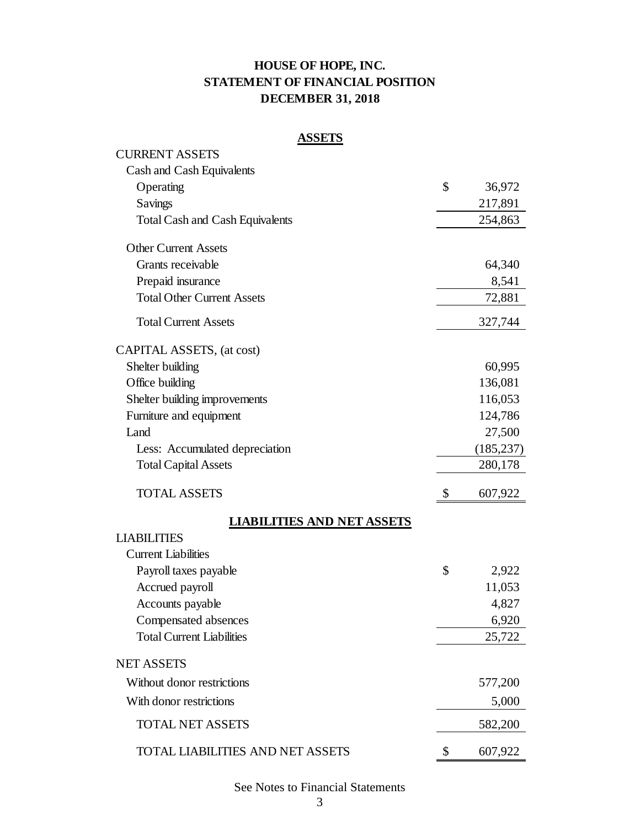# **HOUSE OF HOPE, INC. STATEMENT OF FINANCIAL POSITION DECEMBER 31, 2018**

### **ASSETS**

| <b>CURRENT ASSETS</b>                   |               |
|-----------------------------------------|---------------|
| Cash and Cash Equivalents               |               |
| Operating                               | \$<br>36,972  |
| Savings                                 | 217,891       |
| <b>Total Cash and Cash Equivalents</b>  | 254,863       |
| <b>Other Current Assets</b>             |               |
| Grants receivable                       | 64,340        |
| Prepaid insurance                       | 8,541         |
| <b>Total Other Current Assets</b>       | 72,881        |
| <b>Total Current Assets</b>             | 327,744       |
| CAPITAL ASSETS, (at cost)               |               |
| Shelter building                        | 60,995        |
| Office building                         | 136,081       |
| Shelter building improvements           | 116,053       |
| Furniture and equipment                 | 124,786       |
| Land                                    | 27,500        |
| Less: Accumulated depreciation          | (185, 237)    |
| <b>Total Capital Assets</b>             | 280,178       |
| <b>TOTAL ASSETS</b>                     | \$<br>607,922 |
| <b>LIABILITIES AND NET ASSETS</b>       |               |
| <b>LIABILITIES</b>                      |               |
| <b>Current Liabilities</b>              |               |
| Payroll taxes payable                   | \$<br>2,922   |
| Accrued payroll                         | 11,053        |
| Accounts payable                        | 4,827         |
| Compensated absences                    | 6,920         |
| <b>Total Current Liabilities</b>        | 25,722        |
| <b>NET ASSETS</b>                       |               |
| Without donor restrictions              | 577,200       |
| With donor restrictions                 | 5,000         |
| <b>TOTAL NET ASSETS</b>                 | 582,200       |
| <b>TOTAL LIABILITIES AND NET ASSETS</b> | \$<br>607,922 |

See Notes to Financial Statements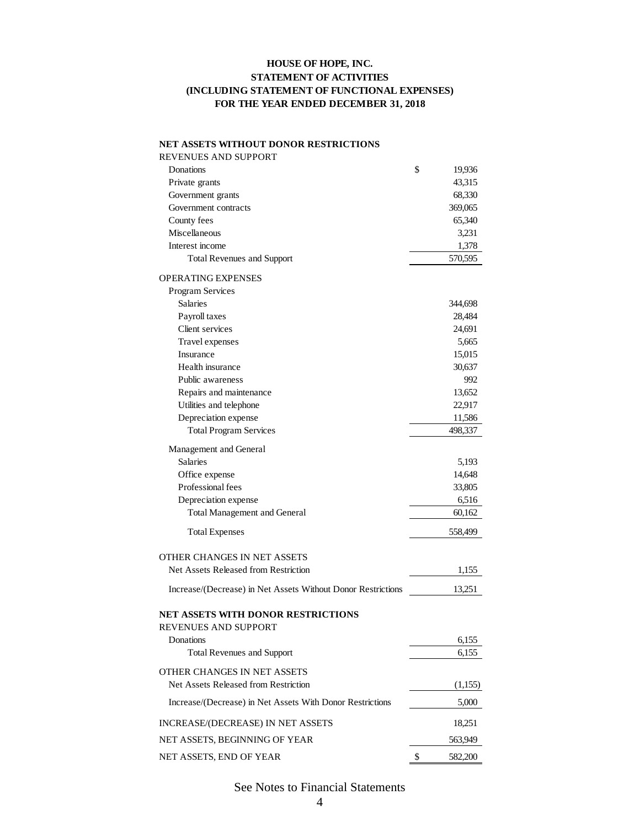#### **HOUSE OF HOPE, INC. STATEMENT OF ACTIVITIES FOR THE YEAR ENDED DECEMBER 31, 2018 (INCLUDING STATEMENT OF FUNCTIONAL EXPENSES)**

#### **NET ASSETS WITHOUT DONOR RESTRICTIONS**

| REVENUES AND SUPPORT                                              |               |
|-------------------------------------------------------------------|---------------|
| Donations                                                         | \$<br>19,936  |
| Private grants                                                    | 43,315        |
| Government grants                                                 | 68,330        |
| Government contracts                                              | 369,065       |
| County fees                                                       | 65,340        |
| Miscellaneous                                                     | 3,231         |
| Interest income                                                   | 1,378         |
| <b>Total Revenues and Support</b>                                 | 570,595       |
| <b>OPERATING EXPENSES</b>                                         |               |
| Program Services                                                  |               |
| <b>Salaries</b>                                                   | 344,698       |
| Payroll taxes                                                     | 28,484        |
| Client services                                                   | 24,691        |
| Travel expenses                                                   | 5,665         |
| Insurance                                                         | 15,015        |
| Health insurance                                                  | 30,637        |
| Public awareness                                                  | 992           |
| Repairs and maintenance                                           | 13,652        |
| Utilities and telephone                                           | 22,917        |
| Depreciation expense                                              | 11,586        |
| <b>Total Program Services</b>                                     | 498,337       |
| Management and General                                            |               |
| <b>Salaries</b>                                                   | 5,193         |
| Office expense                                                    | 14,648        |
| Professional fees                                                 | 33,805        |
| Depreciation expense                                              | 6,516         |
| <b>Total Management and General</b>                               | 60,162        |
| <b>Total Expenses</b>                                             | 558,499       |
| OTHER CHANGES IN NET ASSETS                                       |               |
| Net Assets Released from Restriction                              | 1,155         |
| Increase/(Decrease) in Net Assets Without Donor Restrictions      | 13,251        |
| <b>NET ASSETS WITH DONOR RESTRICTIONS</b><br>REVENUES AND SUPPORT |               |
| Donations                                                         | 6,155         |
| <b>Total Revenues and Support</b>                                 | 6,155         |
| OTHER CHANGES IN NET ASSETS                                       |               |
| Net Assets Released from Restriction                              | (1,155)       |
| Increase/(Decrease) in Net Assets With Donor Restrictions         | 5,000         |
| INCREASE/(DECREASE) IN NET ASSETS                                 | 18,251        |
| NET ASSETS, BEGINNING OF YEAR                                     | 563,949       |
| NET ASSETS, END OF YEAR                                           | \$<br>582,200 |

### See Notes to Financial Statements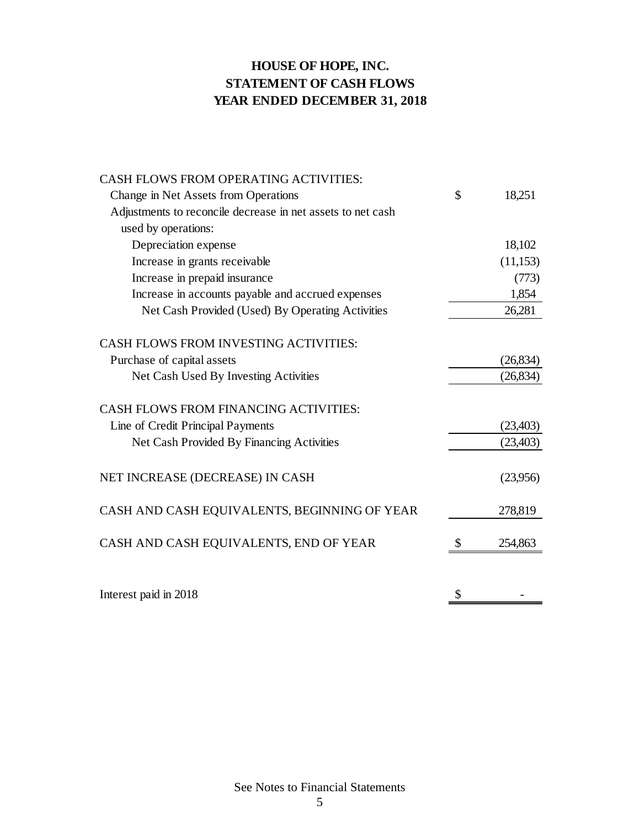# **HOUSE OF HOPE, INC. STATEMENT OF CASH FLOWS YEAR ENDED DECEMBER 31, 2018**

| <b>CASH FLOWS FROM OPERATING ACTIVITIES:</b>                |               |
|-------------------------------------------------------------|---------------|
| Change in Net Assets from Operations                        | \$<br>18,251  |
| Adjustments to reconcile decrease in net assets to net cash |               |
| used by operations:                                         |               |
| Depreciation expense                                        | 18,102        |
| Increase in grants receivable                               | (11, 153)     |
| Increase in prepaid insurance                               | (773)         |
| Increase in accounts payable and accrued expenses           | 1,854         |
| Net Cash Provided (Used) By Operating Activities            | 26,281        |
| <b>CASH FLOWS FROM INVESTING ACTIVITIES:</b>                |               |
| Purchase of capital assets                                  | (26, 834)     |
| Net Cash Used By Investing Activities                       | (26, 834)     |
| <b>CASH FLOWS FROM FINANCING ACTIVITIES:</b>                |               |
| Line of Credit Principal Payments                           | (23, 403)     |
| Net Cash Provided By Financing Activities                   | (23, 403)     |
|                                                             |               |
| NET INCREASE (DECREASE) IN CASH                             | (23,956)      |
| CASH AND CASH EQUIVALENTS, BEGINNING OF YEAR                | 278,819       |
| CASH AND CASH EQUIVALENTS, END OF YEAR                      | \$<br>254,863 |
|                                                             |               |
| Interest paid in 2018                                       | \$            |

See Notes to Financial Statements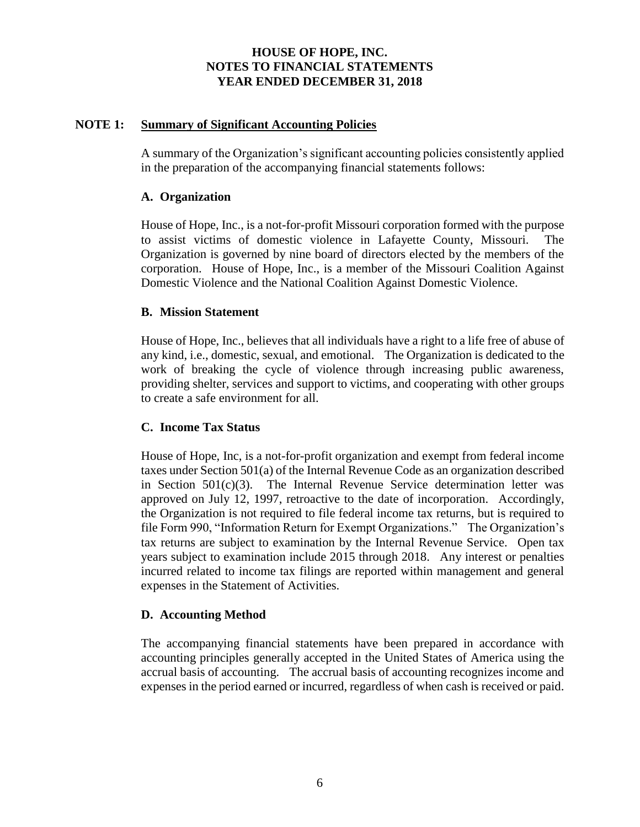### **NOTE 1: Summary of Significant Accounting Policies**

A summary of the Organization's significant accounting policies consistently applied in the preparation of the accompanying financial statements follows:

### **A. Organization**

House of Hope, Inc., is a not-for-profit Missouri corporation formed with the purpose to assist victims of domestic violence in Lafayette County, Missouri. The Organization is governed by nine board of directors elected by the members of the corporation. House of Hope, Inc., is a member of the Missouri Coalition Against Domestic Violence and the National Coalition Against Domestic Violence.

### **B. Mission Statement**

House of Hope, Inc., believes that all individuals have a right to a life free of abuse of any kind, i.e., domestic, sexual, and emotional. The Organization is dedicated to the work of breaking the cycle of violence through increasing public awareness, providing shelter, services and support to victims, and cooperating with other groups to create a safe environment for all.

### **C. Income Tax Status**

House of Hope, Inc, is a not-for-profit organization and exempt from federal income taxes under Section 501(a) of the Internal Revenue Code as an organization described in Section 501(c)(3). The Internal Revenue Service determination letter was approved on July 12, 1997, retroactive to the date of incorporation. Accordingly, the Organization is not required to file federal income tax returns, but is required to file Form 990, "Information Return for Exempt Organizations." The Organization's tax returns are subject to examination by the Internal Revenue Service. Open tax years subject to examination include 2015 through 2018. Any interest or penalties incurred related to income tax filings are reported within management and general expenses in the Statement of Activities.

### **D. Accounting Method**

The accompanying financial statements have been prepared in accordance with accounting principles generally accepted in the United States of America using the accrual basis of accounting. The accrual basis of accounting recognizes income and expenses in the period earned or incurred, regardless of when cash is received or paid.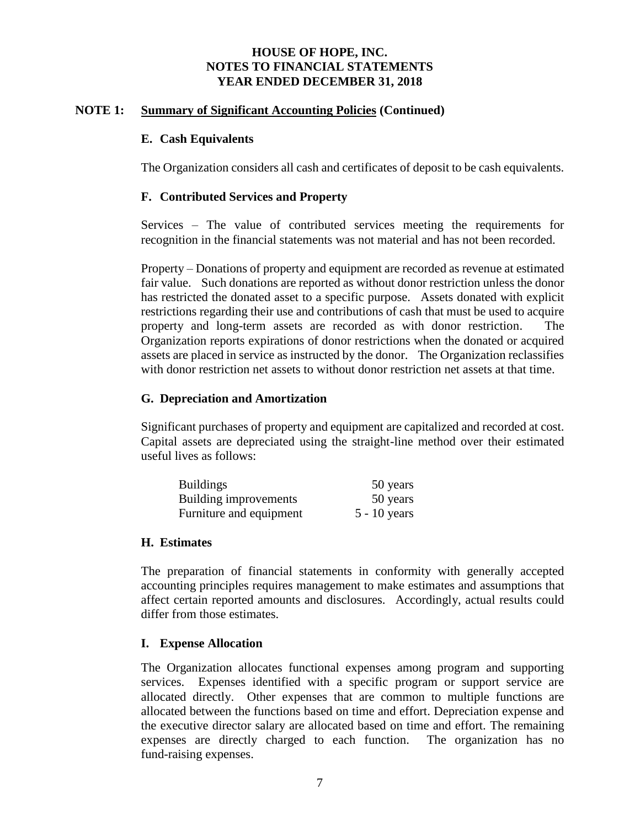#### **NOTE 1: Summary of Significant Accounting Policies (Continued)**

#### **E. Cash Equivalents**

The Organization considers all cash and certificates of deposit to be cash equivalents.

#### **F. Contributed Services and Property**

Services – The value of contributed services meeting the requirements for recognition in the financial statements was not material and has not been recorded.

Property – Donations of property and equipment are recorded as revenue at estimated fair value. Such donations are reported as without donor restriction unless the donor has restricted the donated asset to a specific purpose. Assets donated with explicit restrictions regarding their use and contributions of cash that must be used to acquire property and long-term assets are recorded as with donor restriction. The Organization reports expirations of donor restrictions when the donated or acquired assets are placed in service as instructed by the donor. The Organization reclassifies with donor restriction net assets to without donor restriction net assets at that time.

#### **G. Depreciation and Amortization**

Significant purchases of property and equipment are capitalized and recorded at cost. Capital assets are depreciated using the straight-line method over their estimated useful lives as follows:

| <b>Buildings</b>        | 50 years       |
|-------------------------|----------------|
| Building improvements   | 50 years       |
| Furniture and equipment | $5 - 10$ years |

#### **H. Estimates**

The preparation of financial statements in conformity with generally accepted accounting principles requires management to make estimates and assumptions that affect certain reported amounts and disclosures. Accordingly, actual results could differ from those estimates.

#### **I. Expense Allocation**

The Organization allocates functional expenses among program and supporting services. Expenses identified with a specific program or support service are allocated directly. Other expenses that are common to multiple functions are allocated between the functions based on time and effort. Depreciation expense and the executive director salary are allocated based on time and effort. The remaining expenses are directly charged to each function. The organization has no fund-raising expenses.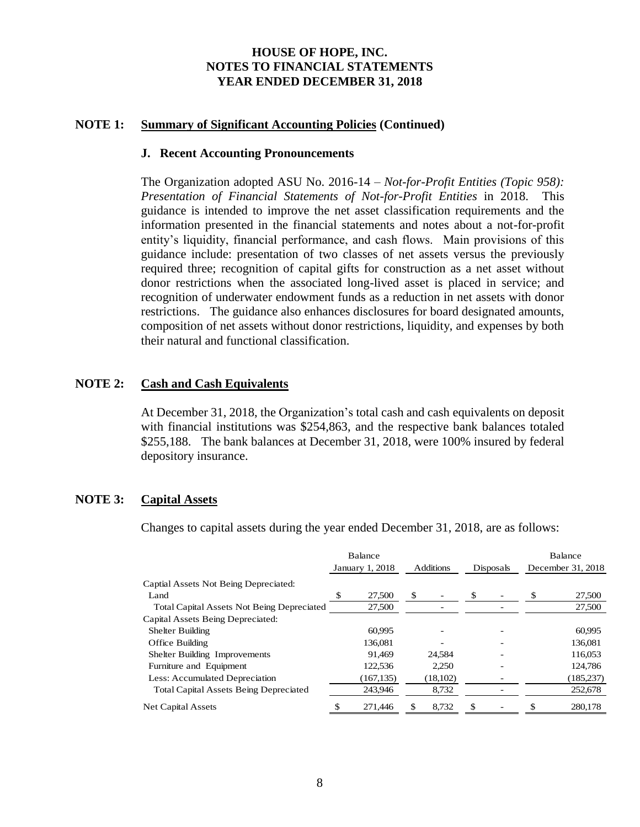#### **NOTE 1: Summary of Significant Accounting Policies (Continued)**

#### **J. Recent Accounting Pronouncements**

The Organization adopted ASU No. 2016-14 – *Not-for-Profit Entities (Topic 958): Presentation of Financial Statements of Not-for-Profit Entities* in 2018. This guidance is intended to improve the net asset classification requirements and the information presented in the financial statements and notes about a not-for-profit entity's liquidity, financial performance, and cash flows. Main provisions of this guidance include: presentation of two classes of net assets versus the previously required three; recognition of capital gifts for construction as a net asset without donor restrictions when the associated long-lived asset is placed in service; and recognition of underwater endowment funds as a reduction in net assets with donor restrictions. The guidance also enhances disclosures for board designated amounts, composition of net assets without donor restrictions, liquidity, and expenses by both their natural and functional classification.

#### **NOTE 2: Cash and Cash Equivalents**

At December 31, 2018, the Organization's total cash and cash equivalents on deposit with financial institutions was \$254,863, and the respective bank balances totaled \$255,188. The bank balances at December 31, 2018, were 100% insured by federal depository insurance.

#### **NOTE 3: Capital Assets**

Changes to capital assets during the year ended December 31, 2018, are as follows:

|                                                   | Balance         |             |           | Balance           |
|---------------------------------------------------|-----------------|-------------|-----------|-------------------|
|                                                   | January 1, 2018 | Additions   | Disposals | December 31, 2018 |
| Captial Assets Not Being Depreciated:             |                 |             |           |                   |
| Land                                              | \$<br>27,500    | \$          |           | 27,500            |
| <b>Total Capital Assets Not Being Depreciated</b> | 27,500          |             |           | 27,500            |
| Capital Assets Being Depreciated:                 |                 |             |           |                   |
| <b>Shelter Building</b>                           | 60,995          |             |           | 60,995            |
| Office Building                                   | 136,081         |             |           | 136,081           |
| Shelter Building Improvements                     | 91.469          | 24.584      |           | 116,053           |
| Furniture and Equipment                           | 122,536         | 2.250       |           | 124,786           |
| Less: Accumulated Depreciation                    | (167, 135)      | (18, 102)   |           | (185, 237)        |
| <b>Total Capital Assets Being Depreciated</b>     | 243,946         | 8,732       |           | 252,678           |
| Net Capital Assets                                | 271,446         | \$<br>8.732 | \$        | 280,178           |